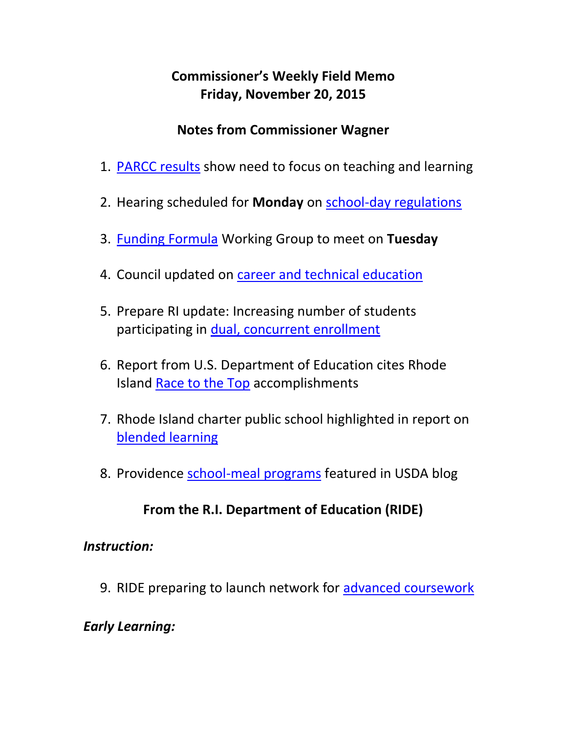# **Commissioner's Weekly Field Memo Friday, November 20, 2015**

#### **Notes from Commissioner Wagner**

- 1. [PARCC results](#page-2-0) show need to focus on teaching and learning
- 2. Hearing scheduled for **Monday** on [school-day regulations](#page-5-0)
- 3. [Funding Formula](#page-5-1) Working Group to meet on **Tuesday**
- 4. Council updated on [career and technical education](#page-5-1)
- 5. Prepare RI update: Increasing number of students participating in [dual, concurrent enrollment](#page-7-0)
- 6. Report from U.S. Department of Education cites Rhode Island [Race to the Top](#page-2-0) accomplishments
- 7. Rhode Island charter public school highlighted in report on [blended learning](#page-8-0)
- 8. Providence [school-meal programs](#page-9-0) featured in USDA blog

# **From the R.I. Department of Education (RIDE)**

#### *Instruction:*

9. RIDE preparing to launch network for [advanced coursework](#page-9-1)

#### *Early Learning:*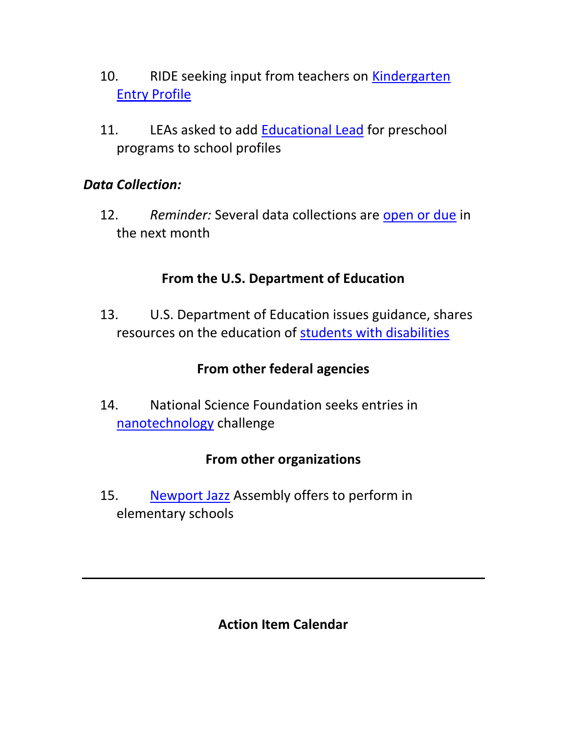- 10. RIDE seeking input from teachers on [Kindergarten](#page-13-0)  [Entry Profile](#page-13-0)
- 11. LEAs asked to add [Educational Lead](#page-14-0) for preschool programs to school profiles

#### *Data Collection:*

12. *Reminder:* Several data collections are [open or due](#page-15-0) in the next month

## **From the U.S. Department of Education**

13. U.S. Department of Education issues guidance, shares resources on the education of [students with disabilities](#page-15-1)

#### **From other federal agencies**

14. National Science Foundation seeks entries in [nanotechnology](#page-17-0) challenge

#### **From other organizations**

15. [Newport Jazz](#page-18-0) Assembly offers to perform in elementary schools

#### **Action Item Calendar**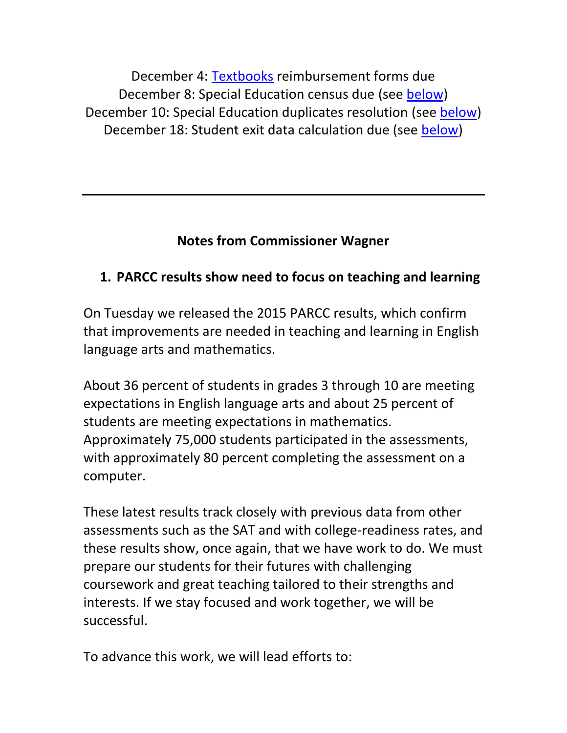December 4: [Textbooks](http://ride.ri.gov/Portals/0/Uploads/Documents/102315-FM.pdf) reimbursement forms due December 8: Special Education census due (see [below\)](#page-15-0) December 10: Special Education duplicates resolution (see [below\)](#page-15-0) December 18: Student exit data calculation due (see [below\)](#page-15-0)

#### **Notes from Commissioner Wagner**

# <span id="page-2-0"></span>**1. PARCC results show need to focus on teaching and learning**

On Tuesday we released the 2015 PARCC results, which confirm that improvements are needed in teaching and learning in English language arts and mathematics.

About 36 percent of students in grades 3 through 10 are meeting expectations in English language arts and about 25 percent of students are meeting expectations in mathematics. Approximately 75,000 students participated in the assessments, with approximately 80 percent completing the assessment on a computer.

These latest results track closely with previous data from other assessments such as the SAT and with college-readiness rates, and these results show, once again, that we have work to do. We must prepare our students for their futures with challenging coursework and great teaching tailored to their strengths and interests. If we stay focused and work together, we will be successful.

To advance this work, we will lead efforts to: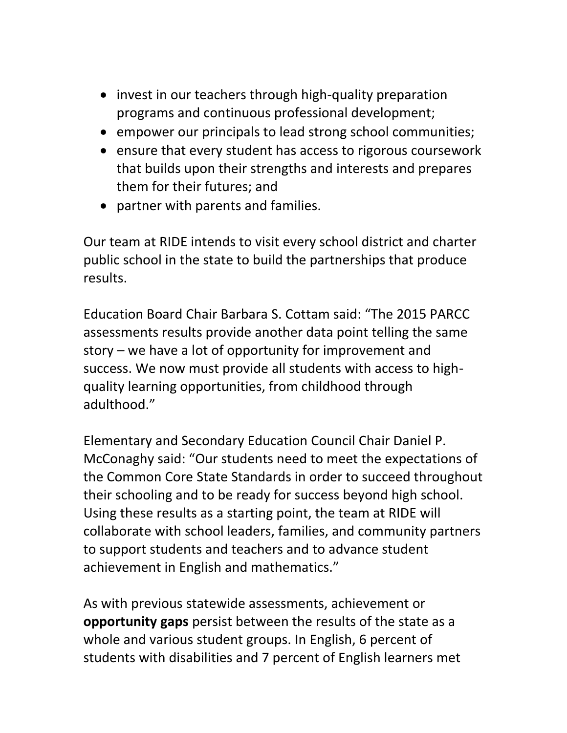- invest in our teachers through high-quality preparation programs and continuous professional development;
- empower our principals to lead strong school communities;
- ensure that every student has access to rigorous coursework that builds upon their strengths and interests and prepares them for their futures; and
- partner with parents and families.

Our team at RIDE intends to visit every school district and charter public school in the state to build the partnerships that produce results.

Education Board Chair Barbara S. Cottam said: "The 2015 PARCC assessments results provide another data point telling the same story – we have a lot of opportunity for improvement and success. We now must provide all students with access to highquality learning opportunities, from childhood through adulthood."

Elementary and Secondary Education Council Chair Daniel P. McConaghy said: "Our students need to meet the expectations of the Common Core State Standards in order to succeed throughout their schooling and to be ready for success beyond high school. Using these results as a starting point, the team at RIDE will collaborate with school leaders, families, and community partners to support students and teachers and to advance student achievement in English and mathematics."

As with previous statewide assessments, achievement or **opportunity gaps** persist between the results of the state as a whole and various student groups. In English, 6 percent of students with disabilities and 7 percent of English learners met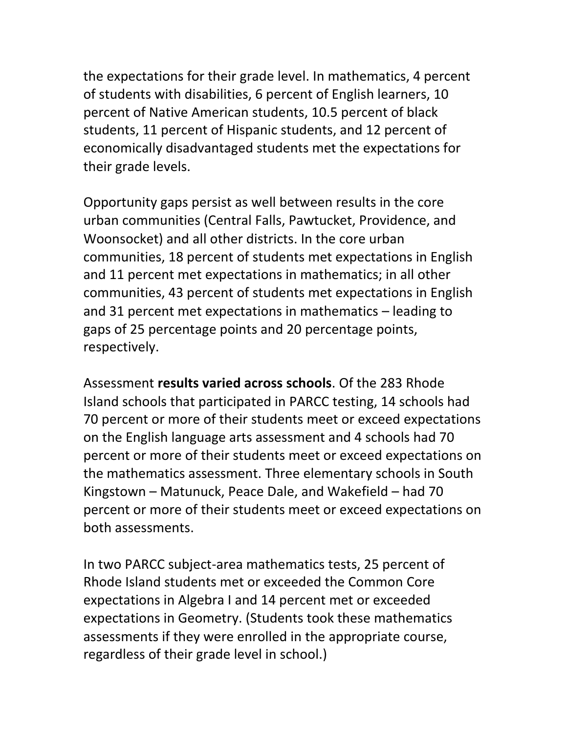the expectations for their grade level. In mathematics, 4 percent of students with disabilities, 6 percent of English learners, 10 percent of Native American students, 10.5 percent of black students, 11 percent of Hispanic students, and 12 percent of economically disadvantaged students met the expectations for their grade levels.

Opportunity gaps persist as well between results in the core urban communities (Central Falls, Pawtucket, Providence, and Woonsocket) and all other districts. In the core urban communities, 18 percent of students met expectations in English and 11 percent met expectations in mathematics; in all other communities, 43 percent of students met expectations in English and 31 percent met expectations in mathematics – leading to gaps of 25 percentage points and 20 percentage points, respectively.

Assessment **results varied across schools**. Of the 283 Rhode Island schools that participated in PARCC testing, 14 schools had 70 percent or more of their students meet or exceed expectations on the English language arts assessment and 4 schools had 70 percent or more of their students meet or exceed expectations on the mathematics assessment. Three elementary schools in South Kingstown – Matunuck, Peace Dale, and Wakefield – had 70 percent or more of their students meet or exceed expectations on both assessments.

In two PARCC subject-area mathematics tests, 25 percent of Rhode Island students met or exceeded the Common Core expectations in Algebra I and 14 percent met or exceeded expectations in Geometry. (Students took these mathematics assessments if they were enrolled in the appropriate course, regardless of their grade level in school.)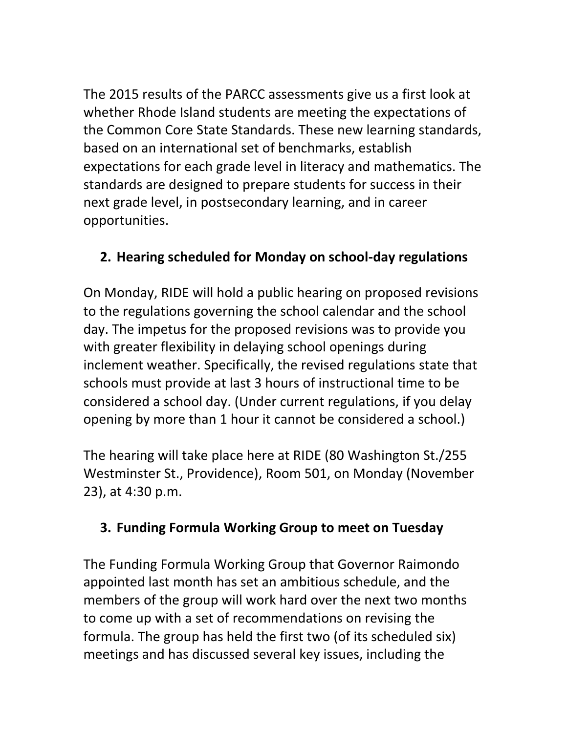The 2015 results of the PARCC assessments give us a first look at whether Rhode Island students are meeting the expectations of the Common Core State Standards. These new learning standards, based on an international set of benchmarks, establish expectations for each grade level in literacy and mathematics. The standards are designed to prepare students for success in their next grade level, in postsecondary learning, and in career opportunities.

#### <span id="page-5-0"></span>**2. Hearing scheduled for Monday on school-day regulations**

On Monday, RIDE will hold a public hearing on proposed revisions to the regulations governing the school calendar and the school day. The impetus for the proposed revisions was to provide you with greater flexibility in delaying school openings during inclement weather. Specifically, the revised regulations state that schools must provide at last 3 hours of instructional time to be considered a school day. (Under current regulations, if you delay opening by more than 1 hour it cannot be considered a school.)

The hearing will take place here at RIDE (80 Washington St./255 Westminster St., Providence), Room 501, on Monday (November 23), at 4:30 p.m.

# <span id="page-5-1"></span>**3. Funding Formula Working Group to meet on Tuesday**

The Funding Formula Working Group that Governor Raimondo appointed last month has set an ambitious schedule, and the members of the group will work hard over the next two months to come up with a set of recommendations on revising the formula. The group has held the first two (of its scheduled six) meetings and has discussed several key issues, including the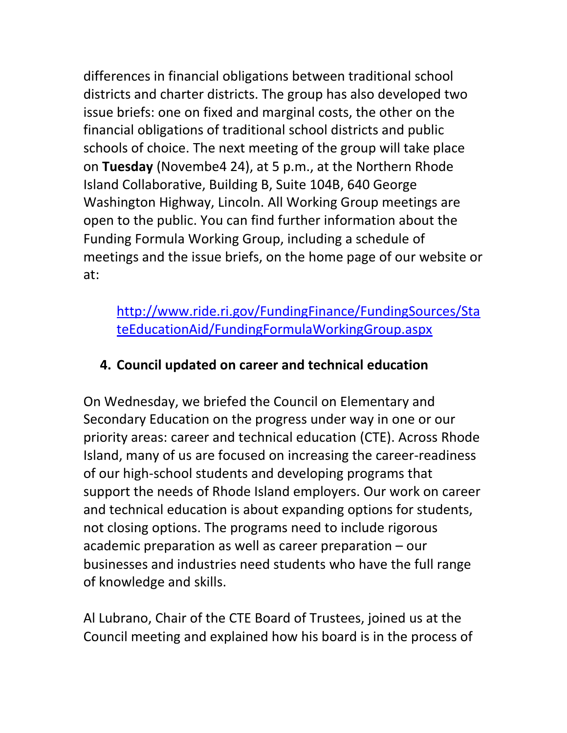differences in financial obligations between traditional school districts and charter districts. The group has also developed two issue briefs: one on fixed and marginal costs, the other on the financial obligations of traditional school districts and public schools of choice. The next meeting of the group will take place on **Tuesday** (Novembe4 24), at 5 p.m., at the Northern Rhode Island Collaborative, Building B, Suite 104B, 640 George Washington Highway, Lincoln. All Working Group meetings are open to the public. You can find further information about the Funding Formula Working Group, including a schedule of meetings and the issue briefs, on the home page of our website or at:

# [http://www.ride.ri.gov/FundingFinance/FundingSources/Sta](http://www.ride.ri.gov/FundingFinance/FundingSources/StateEducationAid/FundingFormulaWorkingGroup.aspx) [teEducationAid/FundingFormulaWorkingGroup.aspx](http://www.ride.ri.gov/FundingFinance/FundingSources/StateEducationAid/FundingFormulaWorkingGroup.aspx)

# **4. Council updated on career and technical education**

On Wednesday, we briefed the Council on Elementary and Secondary Education on the progress under way in one or our priority areas: career and technical education (CTE). Across Rhode Island, many of us are focused on increasing the career-readiness of our high-school students and developing programs that support the needs of Rhode Island employers. Our work on career and technical education is about expanding options for students, not closing options. The programs need to include rigorous academic preparation as well as career preparation – our businesses and industries need students who have the full range of knowledge and skills.

Al Lubrano, Chair of the CTE Board of Trustees, joined us at the Council meeting and explained how his board is in the process of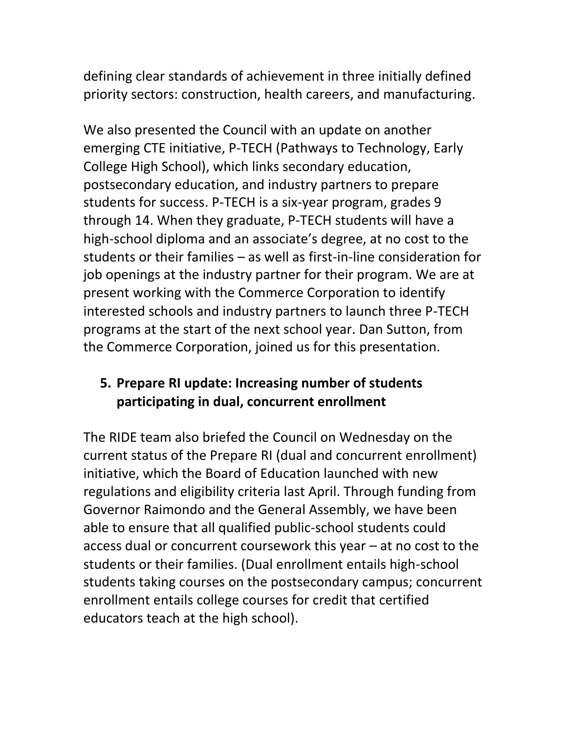defining clear standards of achievement in three initially defined priority sectors: construction, health careers, and manufacturing.

We also presented the Council with an update on another emerging CTE initiative, P-TECH (Pathways to Technology, Early College High School), which links secondary education, postsecondary education, and industry partners to prepare students for success. P-TECH is a six-year program, grades 9 through 14. When they graduate, P-TECH students will have a high-school diploma and an associate's degree, at no cost to the students or their families – as well as first-in-line consideration for job openings at the industry partner for their program. We are at present working with the Commerce Corporation to identify interested schools and industry partners to launch three P-TECH programs at the start of the next school year. Dan Sutton, from the Commerce Corporation, joined us for this presentation.

## <span id="page-7-0"></span>**5. Prepare RI update: Increasing number of students participating in dual, concurrent enrollment**

The RIDE team also briefed the Council on Wednesday on the current status of the Prepare RI (dual and concurrent enrollment) initiative, which the Board of Education launched with new regulations and eligibility criteria last April. Through funding from Governor Raimondo and the General Assembly, we have been able to ensure that all qualified public-school students could access dual or concurrent coursework this year – at no cost to the students or their families. (Dual enrollment entails high-school students taking courses on the postsecondary campus; concurrent enrollment entails college courses for credit that certified educators teach at the high school).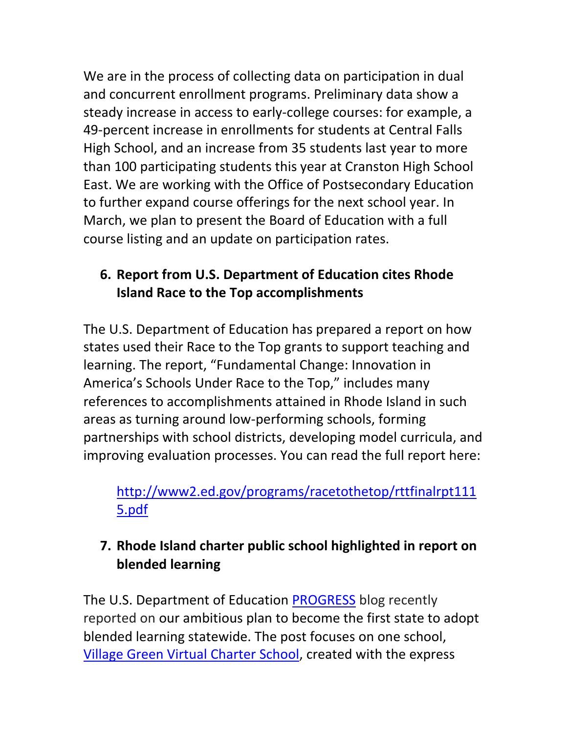We are in the process of collecting data on participation in dual and concurrent enrollment programs. Preliminary data show a steady increase in access to early-college courses: for example, a 49-percent increase in enrollments for students at Central Falls High School, and an increase from 35 students last year to more than 100 participating students this year at Cranston High School East. We are working with the Office of Postsecondary Education to further expand course offerings for the next school year. In March, we plan to present the Board of Education with a full course listing and an update on participation rates.

# **6. Report from U.S. Department of Education cites Rhode Island Race to the Top accomplishments**

The U.S. Department of Education has prepared a report on how states used their Race to the Top grants to support teaching and learning. The report, "Fundamental Change: Innovation in America's Schools Under Race to the Top," includes many references to accomplishments attained in Rhode Island in such areas as turning around low-performing schools, forming partnerships with school districts, developing model curricula, and improving evaluation processes. You can read the full report here:

## [http://www2.ed.gov/programs/racetothetop/rttfinalrpt111](http://www2.ed.gov/programs/racetothetop/rttfinalrpt1115.pdf) [5.pdf](http://www2.ed.gov/programs/racetothetop/rttfinalrpt1115.pdf)

## <span id="page-8-0"></span>**7. Rhode Island charter public school highlighted in report on blended learning**

The U.S. Department of Education [PROGRESS](http://www.ed.gov/edblogs/progress) blog recently reported on our ambitious plan to become the first state to adopt blended learning statewide. The post focuses on one school, [Village Green Virtual Charter School,](http://www.vgonline.org/) created with the express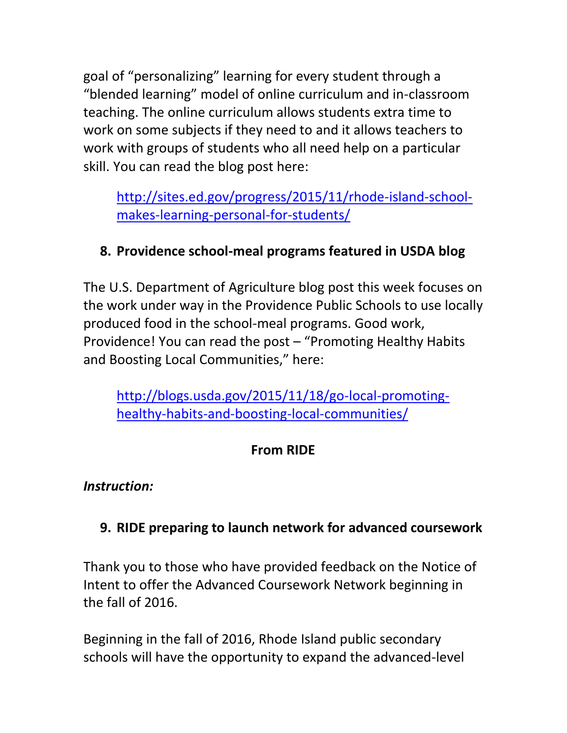goal of "personalizing" learning for every student through a "blended learning" model of online curriculum and in-classroom teaching. The online curriculum allows students extra time to work on some subjects if they need to and it allows teachers to work with groups of students who all need help on a particular skill. You can read the blog post here:

[http://sites.ed.gov/progress/2015/11/rhode-island-school](http://sites.ed.gov/progress/2015/11/rhode-island-school-makes-learning-personal-for-students/)[makes-learning-personal-for-students/](http://sites.ed.gov/progress/2015/11/rhode-island-school-makes-learning-personal-for-students/)

# <span id="page-9-0"></span>**8. Providence school-meal programs featured in USDA blog**

The U.S. Department of Agriculture blog post this week focuses on the work under way in the Providence Public Schools to use locally produced food in the school-meal programs. Good work, Providence! You can read the post – "Promoting Healthy Habits and Boosting Local Communities," here:

[http://blogs.usda.gov/2015/11/18/go-local-promoting](http://blogs.usda.gov/2015/11/18/go-local-promoting-healthy-habits-and-boosting-local-communities/)[healthy-habits-and-boosting-local-communities/](http://blogs.usda.gov/2015/11/18/go-local-promoting-healthy-habits-and-boosting-local-communities/)

# **From RIDE**

*Instruction:*

# <span id="page-9-1"></span>**9. RIDE preparing to launch network for advanced coursework**

Thank you to those who have provided feedback on the Notice of Intent to offer the Advanced Coursework Network beginning in the fall of 2016.

Beginning in the fall of 2016, Rhode Island public secondary schools will have the opportunity to expand the advanced-level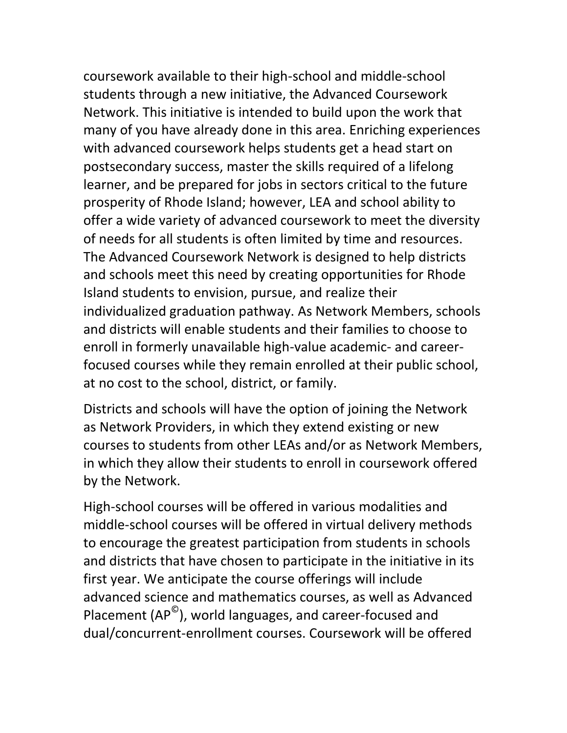coursework available to their high-school and middle-school students through a new initiative, the Advanced Coursework Network. This initiative is intended to build upon the work that many of you have already done in this area. Enriching experiences with advanced coursework helps students get a head start on postsecondary success, master the skills required of a lifelong learner, and be prepared for jobs in sectors critical to the future prosperity of Rhode Island; however, LEA and school ability to offer a wide variety of advanced coursework to meet the diversity of needs for all students is often limited by time and resources. The Advanced Coursework Network is designed to help districts and schools meet this need by creating opportunities for Rhode Island students to envision, pursue, and realize their individualized graduation pathway. As Network Members, schools and districts will enable students and their families to choose to enroll in formerly unavailable high-value academic- and careerfocused courses while they remain enrolled at their public school, at no cost to the school, district, or family.

Districts and schools will have the option of joining the Network as Network Providers, in which they extend existing or new courses to students from other LEAs and/or as Network Members, in which they allow their students to enroll in coursework offered by the Network.

High-school courses will be offered in various modalities and middle-school courses will be offered in virtual delivery methods to encourage the greatest participation from students in schools and districts that have chosen to participate in the initiative in its first year. We anticipate the course offerings will include advanced science and mathematics courses, as well as Advanced Placement (AP<sup>©</sup>), world languages, and career-focused and dual/concurrent-enrollment courses. Coursework will be offered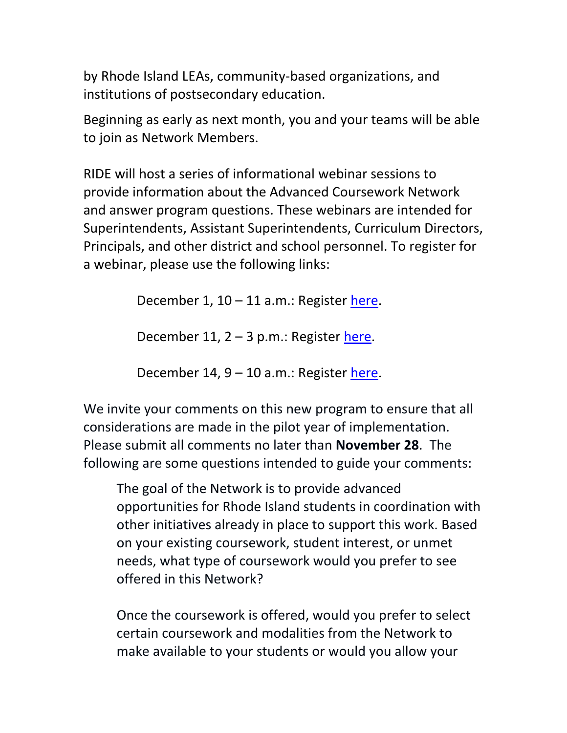by Rhode Island LEAs, community-based organizations, and institutions of postsecondary education.

Beginning as early as next month, you and your teams will be able to join as Network Members.

RIDE will host a series of informational webinar sessions to provide information about the Advanced Coursework Network and answer program questions. These webinars are intended for Superintendents, Assistant Superintendents, Curriculum Directors, Principals, and other district and school personnel. To register for a webinar, please use the following links:

December 1, 10 – 11 a.m.: Register [here.](https://attendee.gotowebinar.com/register/1095912197366782722)

December 11, 2 – 3 p.m.: Register [here.](https://attendee.gotowebinar.com/register/4127531836959287810)

December 14, 9 – 10 a.m.: Register [here.](https://attendee.gotowebinar.com/register/3422459010531683074)

We invite your comments on this new program to ensure that all considerations are made in the pilot year of implementation. Please submit all comments no later than **November 28**. The following are some questions intended to guide your comments:

The goal of the Network is to provide advanced opportunities for Rhode Island students in coordination with other initiatives already in place to support this work. Based on your existing coursework, student interest, or unmet needs, what type of coursework would you prefer to see offered in this Network?

Once the coursework is offered, would you prefer to select certain coursework and modalities from the Network to make available to your students or would you allow your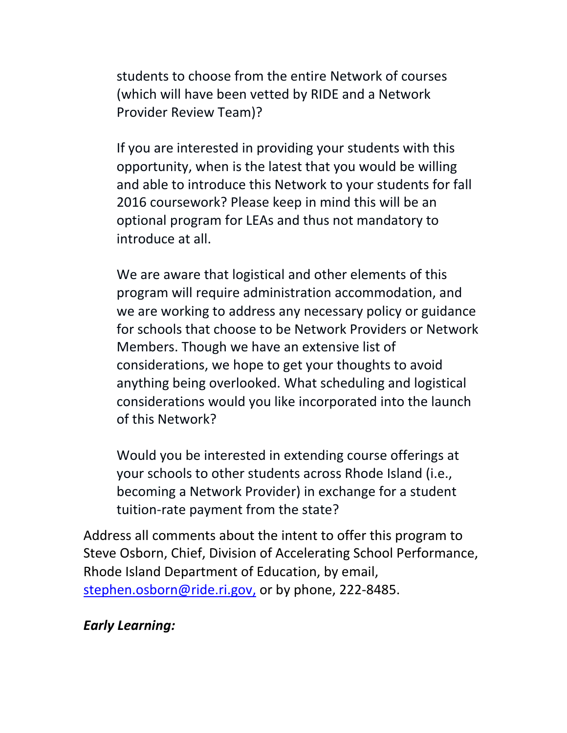students to choose from the entire Network of courses (which will have been vetted by RIDE and a Network Provider Review Team)?

If you are interested in providing your students with this opportunity, when is the latest that you would be willing and able to introduce this Network to your students for fall 2016 coursework? Please keep in mind this will be an optional program for LEAs and thus not mandatory to introduce at all.

We are aware that logistical and other elements of this program will require administration accommodation, and we are working to address any necessary policy or guidance for schools that choose to be Network Providers or Network Members. Though we have an extensive list of considerations, we hope to get your thoughts to avoid anything being overlooked. What scheduling and logistical considerations would you like incorporated into the launch of this Network?

Would you be interested in extending course offerings at your schools to other students across Rhode Island (i.e., becoming a Network Provider) in exchange for a student tuition-rate payment from the state?

Address all comments about the intent to offer this program to Steve Osborn, Chief, Division of Accelerating School Performance, Rhode Island Department of Education, by email, [stephen.osborn@ride.ri.gov,](mailto:stephen.osborn@ride.ri.gov) or by phone, 222-8485.

#### *Early Learning:*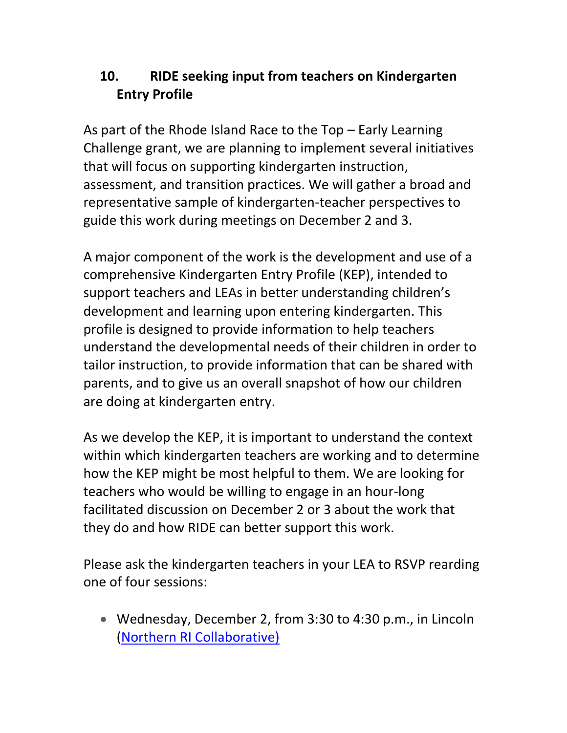# <span id="page-13-0"></span>**10. RIDE seeking input from teachers on Kindergarten Entry Profile**

As part of the Rhode Island Race to the Top – Early Learning Challenge grant, we are planning to implement several initiatives that will focus on supporting kindergarten instruction, assessment, and transition practices. We will gather a broad and representative sample of kindergarten-teacher perspectives to guide this work during meetings on December 2 and 3.

A major component of the work is the development and use of a comprehensive Kindergarten Entry Profile (KEP), intended to support teachers and LEAs in better understanding children's development and learning upon entering kindergarten. This profile is designed to provide information to help teachers understand the developmental needs of their children in order to tailor instruction, to provide information that can be shared with parents, and to give us an overall snapshot of how our children are doing at kindergarten entry.

As we develop the KEP, it is important to understand the context within which kindergarten teachers are working and to determine how the KEP might be most helpful to them. We are looking for teachers who would be willing to engage in an hour-long facilitated discussion on December 2 or 3 about the work that they do and how RIDE can better support this work.

Please ask the kindergarten teachers in your LEA to RSVP rearding one of four sessions:

 Wednesday, December 2, from 3:30 to 4:30 p.m., in Lincoln [\(Northern RI Collaborative\)](http://www.eventbrite.com/e/kindergarten-teacher-focus-group-1-tickets-19481712326?aff=utm_source%3Deb_email%26utm_medium%3Demail%26utm_campaign%3Dnew_event_email&utm_term=eventurl_text)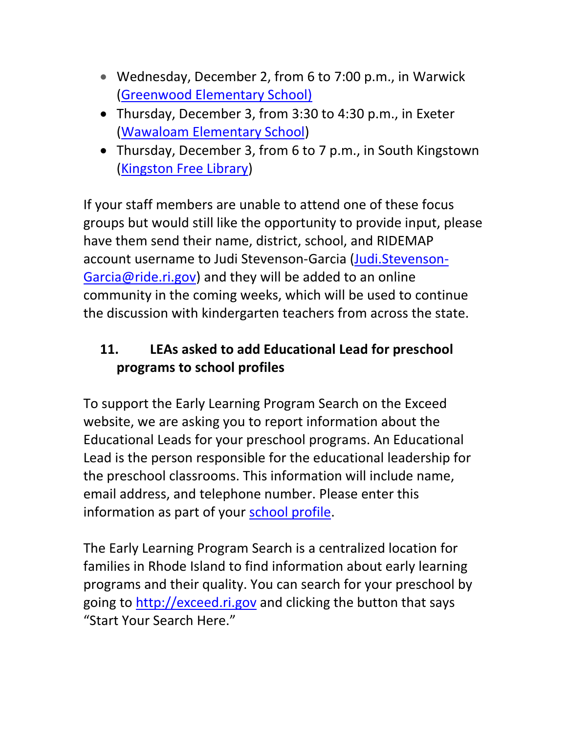- Wednesday, December 2, from 6 to 7:00 p.m., in Warwick [\(Greenwood Elementary School\)](https://www.eventbrite.com/e/kindergarten-teacher-focus-group-2-tickets-19482201790?utm_campaign=new_event_email&utm_medium=email&utm_source=eb_email&utm_term=viewmyevent_button)
- Thursday, December 3, from 3:30 to 4:30 p.m., in Exeter [\(Wawaloam Elementary School\)](http://www.eventbrite.com/e/kindergarten-teacher-focus-group-3-tickets-19481780530?aff=utm_source%3Deb_email%26utm_medium%3Demail%26utm_campaign%3Dnew_event_email&utm_term=eventurl_text)
- Thursday, December 3, from 6 to 7 p.m., in South Kingstown [\(Kingston Free Library\)](http://www.eventbrite.com/e/kindergarten-teacher-focus-group-4-tickets-19481835695?aff=utm_source%3Deb_email%26utm_medium%3Demail%26utm_campaign%3Dnew_event_email&utm_term=eventurl_text)

If your staff members are unable to attend one of these focus groups but would still like the opportunity to provide input, please have them send their name, district, school, and RIDEMAP account username to Judi Stevenson-Garcia (Judi.Stevenson-Garcia@ride.ri.gov) and they will be added to an online community in the coming weeks, which will be used to continue the discussion with kindergarten teachers from across the state.

# <span id="page-14-0"></span>**11. LEAs asked to add Educational Lead for preschool programs to school profiles**

To support the Early Learning Program Search on the Exceed website, we are asking you to report information about the Educational Leads for your preschool programs. An Educational Lead is the person responsible for the educational leadership for the preschool classrooms. This information will include name, email address, and telephone number. Please enter this information as part of your [school profile.](http://www2.ride.ri.gov/Applications/MasterDirectory/)

The Early Learning Program Search is a centralized location for families in Rhode Island to find information about early learning programs and their quality. You can search for your preschool by going to [http://exceed.ri.gov](http://exceed.ri.gov/) and clicking the button that says "Start Your Search Here."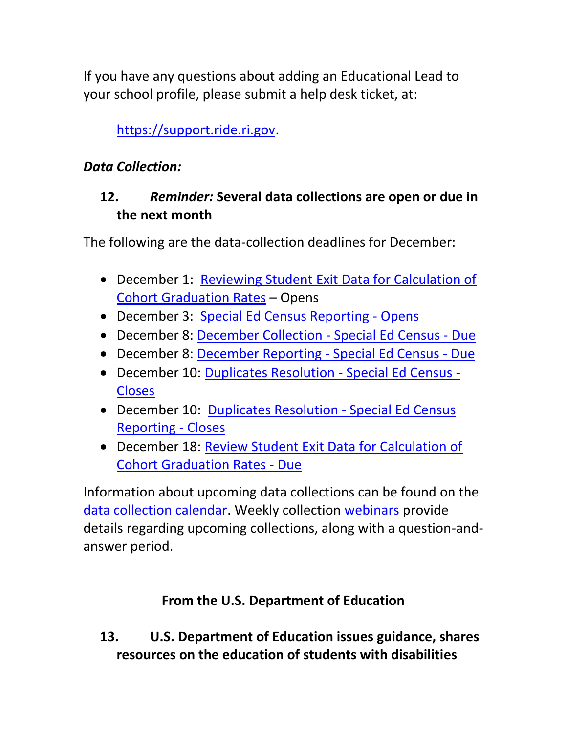If you have any questions about adding an Educational Lead to your school profile, please submit a help desk ticket, at:

[https://support.ride.ri.gov.](https://support.ride.ri.gov/)

## *Data Collection:*

# <span id="page-15-0"></span>**12.** *Reminder:* **Several data collections are open or due in the next month**

The following are the data-collection deadlines for December:

- December 1: [Reviewing Student Exit Data for Calculation of](https://www.eride.ri.gov/eRide40/DataDictionary/ViewDetails.aspx?ID=302)  [Cohort Graduation Rates](https://www.eride.ri.gov/eRide40/DataDictionary/ViewDetails.aspx?ID=302) – Opens
- December 3: [Special Ed Census Reporting -](https://www.eride.ri.gov/eRide40/DataDictionary/ViewDetails.aspx?ID=310) Opens
- December 8: [December Collection -](https://www.eride.ri.gov/eRide40/DataDictionary/ViewDetails.aspx?ID=311) Special Ed Census Due
- December 8: [December Reporting -](https://www.eride.ri.gov/eRide40/DataDictionary/ViewDetails.aspx?ID=310) Special Ed Census Due
- December 10: [Duplicates Resolution -](https://www.eride.ri.gov/eRide40/DataDictionary/ViewDetails.aspx?ID=311) Special Ed Census **[Closes](https://www.eride.ri.gov/eRide40/DataDictionary/ViewDetails.aspx?ID=311)**
- December 10: [Duplicates Resolution -](https://www.eride.ri.gov/eRide40/DataDictionary/ViewDetails.aspx?ID=310) Special Ed Census [Reporting -](https://www.eride.ri.gov/eRide40/DataDictionary/ViewDetails.aspx?ID=310) Closes
- December 18: [Review Student Exit Data for Calculation of](https://www.eride.ri.gov/eRide40/DataDictionary/ViewDetails.aspx?ID=302)  [Cohort Graduation Rates -](https://www.eride.ri.gov/eRide40/DataDictionary/ViewDetails.aspx?ID=302) Due

Information about upcoming data collections can be found on the [data collection calendar.](https://www.eride.ri.gov/eRide40/DataDictionary/Calendar.aspx) Weekly collection [webinars](https://attendee.gotowebinar.com/register/1244693710129866241) provide details regarding upcoming collections, along with a question-andanswer period.

# **From the U.S. Department of Education**

<span id="page-15-1"></span>**13. U.S. Department of Education issues guidance, shares resources on the education of students with disabilities**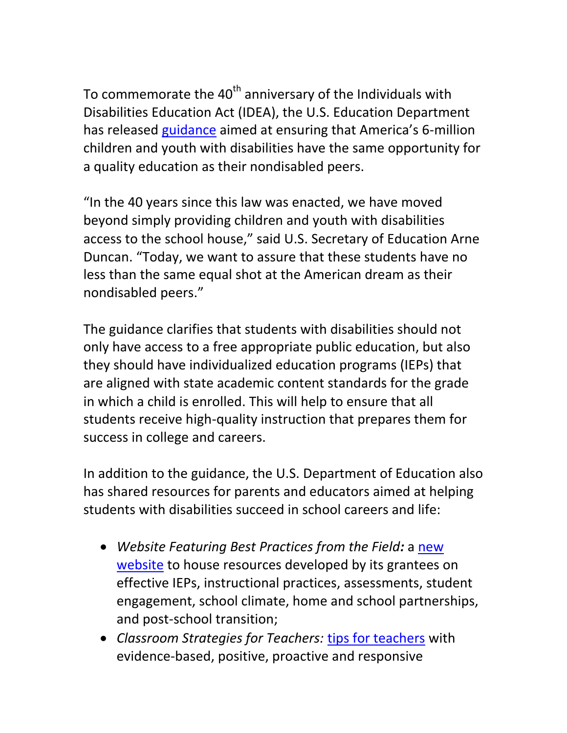To commemorate the  $40<sup>th</sup>$  anniversary of the Individuals with Disabilities Education Act (IDEA), the U.S. Education Department has released [guidance](http://www.ed.gov/policy/speced/guid/idea/memosdcltrs/guidance-on-fape-11-17-2015.pdf) aimed at ensuring that America's 6-million children and youth with disabilities have the same opportunity for a quality education as their nondisabled peers.

"In the 40 years since this law was enacted, we have moved beyond simply providing children and youth with disabilities access to the school house," said U.S. Secretary of Education Arne Duncan. "Today, we want to assure that these students have no less than the same equal shot at the American dream as their nondisabled peers."

The guidance clarifies that students with disabilities should not only have access to a free appropriate public education, but also they should have individualized education programs (IEPs) that are aligned with state academic content standards for the grade in which a child is enrolled. This will help to ensure that all students receive high-quality instruction that prepares them for success in college and careers.

In addition to the guidance, the U.S. Department of Education also has shared resources for parents and educators aimed at helping students with disabilities succeed in school careers and life:

- *Website Featuring Best Practices from the Field:* a [new](http://ccrs.osepideasthatwork.org/)  [website](http://ccrs.osepideasthatwork.org/) to house resources developed by its grantees on effective IEPs, instructional practices, assessments, student engagement, school climate, home and school partnerships, and post-school transition;
- *Classroom Strategies for Teachers:* [tips for teachers](https://www.osepideasthatwork.org/evidencebasedclassroomstrategies) with evidence-based, positive, proactive and responsive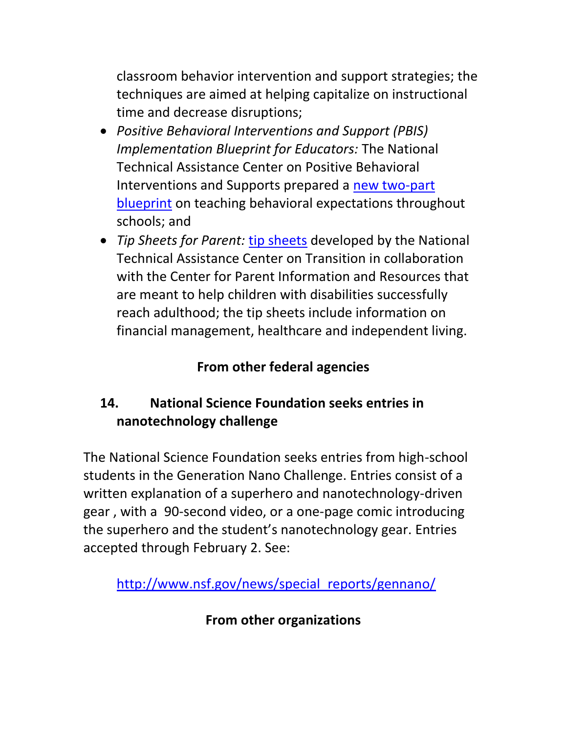classroom behavior intervention and support strategies; the techniques are aimed at helping capitalize on instructional time and decrease disruptions;

- *Positive Behavioral Interventions and Support (PBIS) Implementation Blueprint for Educators:* The National Technical Assistance Center on Positive Behavioral Interventions and Supports prepared a [new two-part](https://www.pbis.org/blueprint/implementation-blueprint)  [blueprint](https://www.pbis.org/blueprint/implementation-blueprint) on teaching behavioral expectations throughout schools; and
- *Tip Sheets for Parent:* [tip sheets](http://www.parentcenterhub.org/repository/age-of-majority-parentguide/) developed by the National Technical Assistance Center on Transition in collaboration with the Center for Parent Information and Resources that are meant to help children with disabilities successfully reach adulthood; the tip sheets include information on financial management, healthcare and independent living.

# **From other federal agencies**

# <span id="page-17-0"></span>**14. National Science Foundation seeks entries in nanotechnology challenge**

The National Science Foundation seeks entries from high-school students in the Generation Nano Challenge. Entries consist of a written explanation of a superhero and nanotechnology-driven gear , with a 90-second video, or a one-page comic introducing the superhero and the student's nanotechnology gear. Entries accepted through February 2. See:

[http://www.nsf.gov/news/special\\_reports/gennano/](http://www.nsf.gov/news/special_reports/gennano/)

#### **From other organizations**